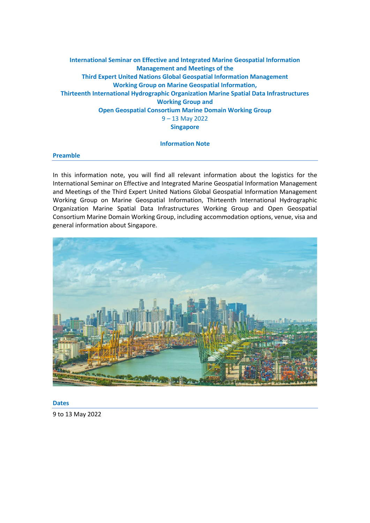# **International Seminar on Effective and Integrated Marine Geospatial Information Management and Meetings of the Third Expert United Nations Global Geospatial Information Management Working Group on Marine Geospatial Information, Thirteenth International Hydrographic Organization Marine Spatial Data Infrastructures Working Group and Open Geospatial Consortium Marine Domain Working Group**  9 – 13 May 2022 **Singapore**

### **Information Note**

### **Preamble**

In this information note, you will find all relevant information about the logistics for the International Seminar on Effective and Integrated Marine Geospatial Information Management and Meetings of the Third Expert United Nations Global Geospatial Information Management Working Group on Marine Geospatial Information, Thirteenth International Hydrographic Organization Marine Spatial Data Infrastructures Working Group and Open Geospatial Consortium Marine Domain Working Group, including accommodation options, venue, visa and general information about Singapore.



**Dates**

9 to 13 May 2022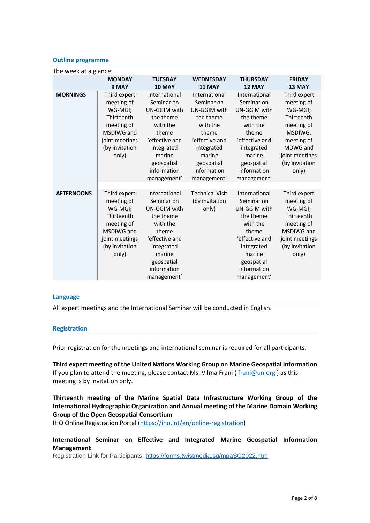#### **Outline programme**

| The week at a glance: |                                                                                                                              |                                                                                                                                                                     |                                                                                                                                                                     |                                                                                                                                                                     |                                                                                                                                                     |  |
|-----------------------|------------------------------------------------------------------------------------------------------------------------------|---------------------------------------------------------------------------------------------------------------------------------------------------------------------|---------------------------------------------------------------------------------------------------------------------------------------------------------------------|---------------------------------------------------------------------------------------------------------------------------------------------------------------------|-----------------------------------------------------------------------------------------------------------------------------------------------------|--|
|                       | <b>MONDAY</b><br>9 MAY                                                                                                       | <b>TUESDAY</b><br><b>10 MAY</b>                                                                                                                                     | <b>WEDNESDAY</b><br><b>11 MAY</b>                                                                                                                                   | <b>THURSDAY</b><br>12 MAY                                                                                                                                           | <b>FRIDAY</b><br>13 MAY                                                                                                                             |  |
| <b>MORNINGS</b>       | Third expert<br>meeting of<br>WG-MGI;<br>Thirteenth<br>meeting of<br>MSDIWG and<br>joint meetings<br>(by invitation<br>only) | International<br>Seminar on<br>UN-GGIM with<br>the theme<br>with the<br>theme<br>'effective and<br>integrated<br>marine<br>geospatial<br>information<br>management' | International<br>Seminar on<br>UN-GGIM with<br>the theme<br>with the<br>theme<br>'effective and<br>integrated<br>marine<br>geospatial<br>information<br>management' | International<br>Seminar on<br>UN-GGIM with<br>the theme<br>with the<br>theme<br>'effective and<br>integrated<br>marine<br>geospatial<br>information<br>management' | Third expert<br>meeting of<br>WG-MGI;<br>Thirteenth<br>meeting of<br>MSDIWG;<br>meeting of<br>MDWG and<br>joint meetings<br>(by invitation<br>only) |  |
| <b>AFTERNOONS</b>     | Third expert<br>meeting of<br>WG-MGI;<br>Thirteenth<br>meeting of<br>MSDIWG and<br>joint meetings<br>(by invitation<br>only) | International<br>Seminar on<br>UN-GGIM with<br>the theme<br>with the<br>theme<br>'effective and<br>integrated<br>marine<br>geospatial<br>information<br>management' | <b>Technical Visit</b><br>(by invitation<br>only)                                                                                                                   | International<br>Seminar on<br>UN-GGIM with<br>the theme<br>with the<br>theme<br>'effective and<br>integrated<br>marine<br>geospatial<br>information<br>management' | Third expert<br>meeting of<br>WG-MGI;<br>Thirteenth<br>meeting of<br>MSDIWG and<br>joint meetings<br>(by invitation<br>only)                        |  |

### **Language**

All expert meetings and the International Seminar will be conducted in English.

### **Registration**

Prior registration for the meetings and international seminar is required for all participants.

**Third expert meeting of the United Nations Working Group on Marine Geospatial Information** If you plan to attend the meeting, please contact Ms. Vilma Frani ( $frani@un.org$ ) as this meeting is by invitation only.

# **Thirteenth meeting of the Marine Spatial Data Infrastructure Working Group of the International Hydrographic Organization and Annual meeting of the Marine Domain Working Group of the Open Geospatial Consortium**

IHO Online Registration Portal [\(https://iho.int/en/online-registration\)](https://iho.int/en/online-registration)

# **International Seminar on Effective and Integrated Marine Geospatial Information Management**

Registration Link for Participants:<https://forms.twistmedia.sg/mpaSG2022.htm>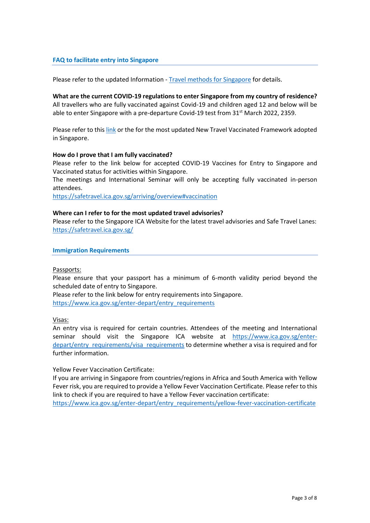## **FAQ to facilitate entry into Singapore**

Please refer to the updated Information - [Travel methods for Singapore](https://ggim.un.org/meetings/2022/3rd-WG-MGI/documents/Travel-methods-for-Singapore_4Apr.pdf) for details.

**What are the current COVID-19 regulations to enter Singapore from my country of residence?** All travellers who are fully vaccinated against Covid-19 and children aged 12 and below will be able to enter Singapore with a pre-departure Covid-19 test from  $31^{st}$  March 2022, 2359.

Please refer to thi[s link](https://safetravel.ica.gov.sg/arriving/general-travel/fully-vaccinated) or the for the most updated New Travel Vaccinated Framework adopted in Singapore.

### **How do I prove that I am fully vaccinated?**

Please refer to the link below for accepted COVID-19 Vaccines for Entry to Singapore and Vaccinated status for activities within Singapore.

The meetings and International Seminar will only be accepting fully vaccinated in-person attendees.

<https://safetravel.ica.gov.sg/arriving/overview#vaccination>

### **Where can I refer to for the most updated travel advisories?**

Please refer to the Singapore ICA Website for the latest travel advisories and Safe Travel Lanes: <https://safetravel.ica.gov.sg/>

**Immigration Requirements**

Passports:

Please ensure that your passport has a minimum of 6-month validity period beyond the scheduled date of entry to Singapore.

Please refer to the link below for entry requirements into Singapore. [https://www.ica.gov.sg/enter-depart/entry\\_requirements](https://www.ica.gov.sg/enter-depart/entry_requirements)

Visas:

An entry visa is required for certain countries. Attendees of the meeting and International seminar should visit the Singapore ICA website at [https://www.ica.gov.sg/enter](https://www.ica.gov.sg/enter-depart/entry_requirements/visa_requirements)[depart/entry\\_requirements/visa\\_requirements](https://www.ica.gov.sg/enter-depart/entry_requirements/visa_requirements) to determine whether a visa is required and for further information.

Yellow Fever Vaccination Certificate:

If you are arriving in Singapore from countries/regions in Africa and South America with Yellow Fever risk, you are required to provide a Yellow Fever Vaccination Certificate. Please refer to this link to check if you are required to have a Yellow Fever vaccination certificate:

[https://www.ica.gov.sg/enter-depart/entry\\_requirements/yellow-fever-vaccination-certificate](https://www.ica.gov.sg/enter-depart/entry_requirements/yellow-fever-vaccination-certificate)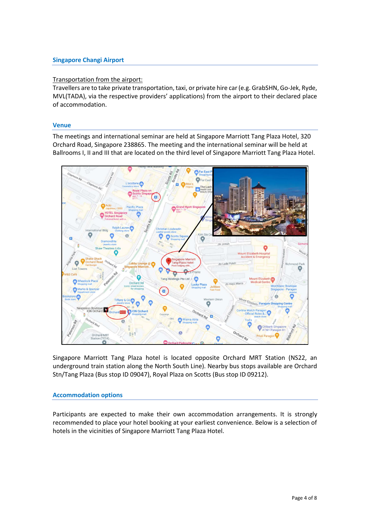# **Singapore Changi Airport**

## Transportation from the airport:

Travellers are to take private transportation, taxi, or private hire car (e.g. GrabSHN, Go-Jek, Ryde, MVL(TADA), via the respective providers' applications) from the airport to their declared place of accommodation.

### **Venue**

The meetings and international seminar are held at Singapore Marriott Tang Plaza Hotel, 320 Orchard Road, Singapore 238865. The meeting and the international seminar will be held at Ballrooms I, II and III that are located on the third level of Singapore Marriott Tang Plaza Hotel.



Singapore Marriott Tang Plaza hotel is located opposite Orchard MRT Station (NS22, an underground train station along the North South Line). Nearby bus stops available are Orchard Stn/Tang Plaza (Bus stop ID 09047), Royal Plaza on Scotts (Bus stop ID 09212).

## **Accommodation options**

Participants are expected to make their own accommodation arrangements. It is strongly recommended to place your hotel booking at your earliest convenience. Below is a selection of hotels in the vicinities of Singapore Marriott Tang Plaza Hotel.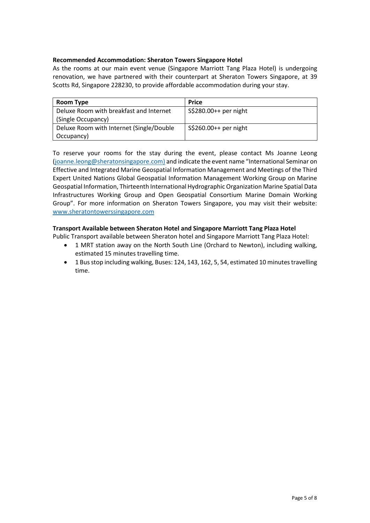# **Recommended Accommodation: Sheraton Towers Singapore Hotel**

As the rooms at our main event venue (Singapore Marriott Tang Plaza Hotel) is undergoing renovation, we have partnered with their counterpart at Sheraton Towers Singapore, at 39 Scotts Rd, Singapore 228230, to provide affordable accommodation during your stay.

| Room Type                                | <b>Price</b>          |  |  |
|------------------------------------------|-----------------------|--|--|
| Deluxe Room with breakfast and Internet  | S\$280.00++ per night |  |  |
| (Single Occupancy)                       |                       |  |  |
| Deluxe Room with Internet (Single/Double | S\$260.00++ per night |  |  |
| Occupancy)                               |                       |  |  |

To reserve your rooms for the stay during the event, please contact Ms Joanne Leong [\(joanne.leong@sheratonsingapore.com\)](mailto:joanne.leong@sheratonsingapore.com) and indicate the event name "International Seminar on Effective and Integrated Marine Geospatial Information Management and Meetings of the Third Expert United Nations Global Geospatial Information Management Working Group on Marine Geospatial Information, Thirteenth International Hydrographic Organization Marine Spatial Data Infrastructures Working Group and Open Geospatial Consortium Marine Domain Working Group". For more information on Sheraton Towers Singapore, you may visit their website: [www.sheratontowerssingapore.com](http://www.sheratontowerssingapore.com/)

## **Transport Available between Sheraton Hotel and Singapore Marriott Tang Plaza Hotel**

Public Transport available between Sheraton hotel and Singapore Marriott Tang Plaza Hotel:

- 1 MRT station away on the North South Line (Orchard to Newton), including walking, estimated 15 minutes travelling time.
- 1 Bus stop including walking, Buses: 124, 143, 162, 5, 54, estimated 10 minutes travelling time.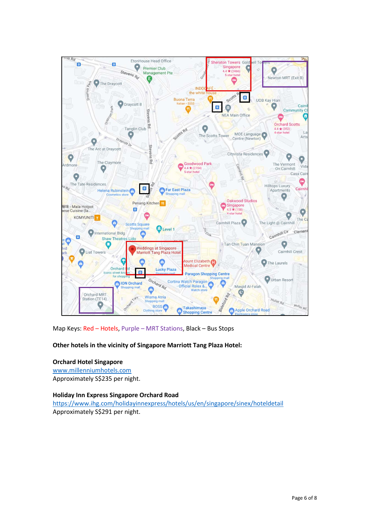

Map Keys: Red – Hotels, Purple – MRT Stations, Black – Bus Stops

# **Other hotels in the vicinity of Singapore Marriott Tang Plaza Hotel:**

## **Orchard Hotel Singapore**

[www.millenniumhotels.com](http://www.millenniumhotels.com/) Approximately S\$235 per night.

## **Holiday Inn Express Singapore Orchard Road**

<https://www.ihg.com/holidayinnexpress/hotels/us/en/singapore/sinex/hoteldetail> Approximately S\$291 per night.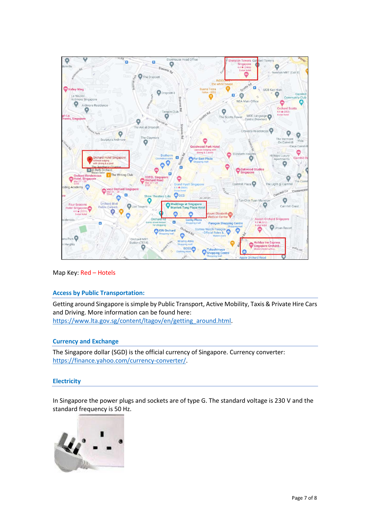

Map Key: Red – Hotels

## **Access by Public Transportation:**

Getting around Singapore is simple by Public Transport, Active Mobility, Taxis & Private Hire Cars and Driving. More information can be found here: [https://www.lta.gov.sg/content/ltagov/en/getting\\_around.html.](https://www.lta.gov.sg/content/ltagov/en/getting_around.html)

### **Currency and Exchange**

The Singapore dollar (SGD) is the official currency of Singapore. Currency converter: [https://finance.yahoo.com/currency-converter/.](https://finance.yahoo.com/currency-converter/)

### **Electricity**

In Singapore the power plugs and sockets are of type G. The standard voltage is 230 V and the standard frequency is 50 Hz.